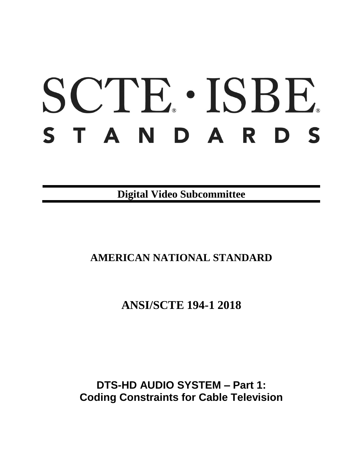# SCTE · ISBE. STANDARDS

**Digital Video Subcommittee**

## **AMERICAN NATIONAL STANDARD**

## **ANSI/SCTE 194-1 2018**

## **DTS-HD AUDIO SYSTEM – Part 1: Coding Constraints for Cable Television**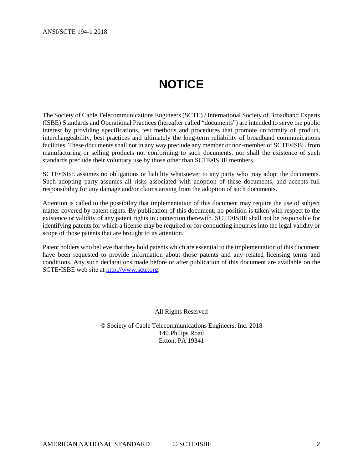# **NOTICE**

<span id="page-1-0"></span>The Society of Cable Telecommunications Engineers (SCTE) / International Society of Broadband Experts (ISBE) Standards and Operational Practices (hereafter called "documents") are intended to serve the public interest by providing specifications, test methods and procedures that promote uniformity of product, interchangeability, best practices and ultimately the long-term reliability of broadband communications facilities. These documents shall not in any way preclude any member or non-member of SCTE•ISBE from manufacturing or selling products not conforming to such documents, nor shall the existence of such standards preclude their voluntary use by those other than SCTE•ISBE members.

SCTE•ISBE assumes no obligations or liability whatsoever to any party who may adopt the documents. Such adopting party assumes all risks associated with adoption of these documents, and accepts full responsibility for any damage and/or claims arising from the adoption of such documents.

Attention is called to the possibility that implementation of this document may require the use of subject matter covered by patent rights. By publication of this document, no position is taken with respect to the existence or validity of any patent rights in connection therewith. SCTE•ISBE shall not be responsible for identifying patents for which a license may be required or for conducting inquiries into the legal validity or scope of those patents that are brought to its attention.

Patent holders who believe that they hold patents which are essential to the implementation of this document have been requested to provide information about those patents and any related licensing terms and conditions. Any such declarations made before or after publication of this document are available on the SCTE•ISBE web site at [http://www.scte.org.](http://www.scte.org/)

All Rights Reserved

© Society of Cable Telecommunications Engineers, Inc. 2018 140 Philips Road Exton, PA 19341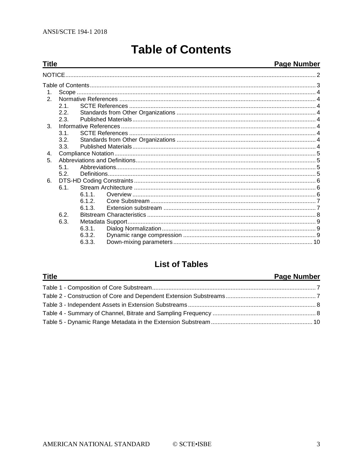<span id="page-2-0"></span>**Title** 

# **Table of Contents**

## **Page Number**

| $\mathcal{P}$ |      |        |  |  |  |  |  |
|---------------|------|--------|--|--|--|--|--|
|               | 21   |        |  |  |  |  |  |
|               | 2.2. |        |  |  |  |  |  |
|               | 2.3. |        |  |  |  |  |  |
| $3_{-}$       |      |        |  |  |  |  |  |
|               | 3.1. |        |  |  |  |  |  |
|               | 3.2. |        |  |  |  |  |  |
|               | 3.3. |        |  |  |  |  |  |
| 4.            |      |        |  |  |  |  |  |
| 5             |      |        |  |  |  |  |  |
|               | 51   |        |  |  |  |  |  |
|               | 5.2. |        |  |  |  |  |  |
| 6.            |      |        |  |  |  |  |  |
|               | 6.1. |        |  |  |  |  |  |
|               |      | 611    |  |  |  |  |  |
|               |      | 612    |  |  |  |  |  |
|               |      | 6.1.3. |  |  |  |  |  |
|               | 6.2. |        |  |  |  |  |  |
|               | 6.3. |        |  |  |  |  |  |
|               |      | 6.3.1. |  |  |  |  |  |
|               |      | 6.3.2. |  |  |  |  |  |
|               |      | 6.3.3. |  |  |  |  |  |
|               |      |        |  |  |  |  |  |

## **List of Tables**

| <u>Title</u> | <b>Page Number</b> |
|--------------|--------------------|
|              |                    |
|              |                    |
|              |                    |
|              |                    |
|              |                    |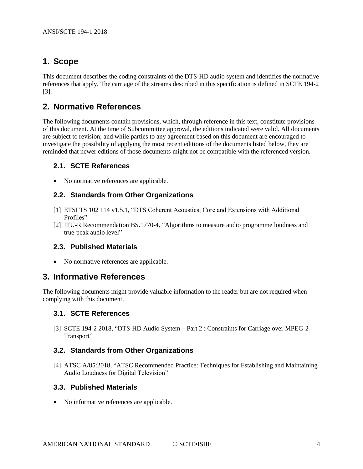## <span id="page-3-0"></span>**1. Scope**

This document describes the coding constraints of the DTS-HD audio system and identifies the normative references that apply. The carriage of the streams described in this specification is defined in SCTE 194-2 [\[3\].](#page-3-9)

## <span id="page-3-1"></span>**2. Normative References**

The following documents contain provisions, which, through reference in this text, constitute provisions of this document. At the time of Subcommittee approval, the editions indicated were valid. All documents are subject to revision; and while parties to any agreement based on this document are encouraged to investigate the possibility of applying the most recent editions of the documents listed below, they are reminded that newer editions of those documents might not be compatible with the referenced version.

#### <span id="page-3-2"></span>**2.1. SCTE References**

<span id="page-3-3"></span>• No normative references are applicable.

#### **2.2. Standards from Other Organizations**

- <span id="page-3-10"></span>[1] ETSI TS 102 114 v1.5.1, "DTS Coherent Acoustics; Core and Extensions with Additional Profiles"
- <span id="page-3-11"></span>[2] ITU-R Recommendation BS.1770-4, "Algorithms to measure audio programme loudness and true-peak audio level"

#### <span id="page-3-4"></span>**2.3. Published Materials**

• No normative references are applicable.

## <span id="page-3-5"></span>**3. Informative References**

<span id="page-3-6"></span>The following documents might provide valuable information to the reader but are not required when complying with this document.

#### **3.1. SCTE References**

<span id="page-3-9"></span>[3] SCTE 194-2 2018, "DTS-HD Audio System – Part 2 : Constraints for Carriage over MPEG-2 Transport"

#### <span id="page-3-7"></span>**3.2. Standards from Other Organizations**

[4] ATSC A/85:2018, "ATSC Recommended Practice: Techniques for Establishing and Maintaining Audio Loudness for Digital Television"

#### <span id="page-3-8"></span>**3.3. Published Materials**

• No informative references are applicable.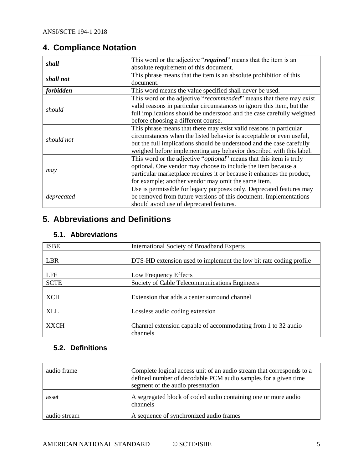## <span id="page-4-0"></span>**4. Compliance Notation**

| shall      | This word or the adjective "required" means that the item is an              |
|------------|------------------------------------------------------------------------------|
|            | absolute requirement of this document.                                       |
| shall not  | This phrase means that the item is an absolute prohibition of this           |
|            | document.                                                                    |
| forbidden  | This word means the value specified shall never be used.                     |
|            | This word or the adjective "recommended" means that there may exist          |
|            | valid reasons in particular circumstances to ignore this item, but the       |
| should     | full implications should be understood and the case carefully weighted       |
|            | before choosing a different course.                                          |
|            | This phrase means that there may exist valid reasons in particular           |
| should not | circumstances when the listed behavior is acceptable or even useful,         |
|            | but the full implications should be understood and the case carefully        |
|            | weighed before implementing any behavior described with this label.          |
|            | This word or the adjective " <i>optional</i> " means that this item is truly |
|            | optional. One vendor may choose to include the item because a                |
| may        | particular marketplace requires it or because it enhances the product,       |
|            | for example; another vendor may omit the same item.                          |
|            | Use is permissible for legacy purposes only. Deprecated features may         |
| deprecated | be removed from future versions of this document. Implementations            |
|            | should avoid use of deprecated features.                                     |

## <span id="page-4-1"></span>**5. Abbreviations and Definitions**

## <span id="page-4-2"></span>**5.1. Abbreviations**

| <b>ISBE</b> | International Society of Broadband Experts                         |
|-------------|--------------------------------------------------------------------|
|             |                                                                    |
| <b>LBR</b>  | DTS-HD extension used to implement the low bit rate coding profile |
|             |                                                                    |
| <b>LFE</b>  | Low Frequency Effects                                              |
| <b>SCTE</b> | Society of Cable Telecommunications Engineers                      |
|             |                                                                    |
| XCH         | Extension that adds a center surround channel                      |
|             |                                                                    |
| <b>XLL</b>  | Lossless audio coding extension                                    |
|             |                                                                    |
| <b>XXCH</b> | Channel extension capable of accommodating from 1 to 32 audio      |
|             | channels                                                           |

## <span id="page-4-3"></span>**5.2. Definitions**

| audio frame  | Complete logical access unit of an audio stream that corresponds to a<br>defined number of decodable PCM audio samples for a given time<br>segment of the audio presentation |
|--------------|------------------------------------------------------------------------------------------------------------------------------------------------------------------------------|
| asset        | A segregated block of coded audio containing one or more audio<br>channels                                                                                                   |
| audio stream | A sequence of synchronized audio frames                                                                                                                                      |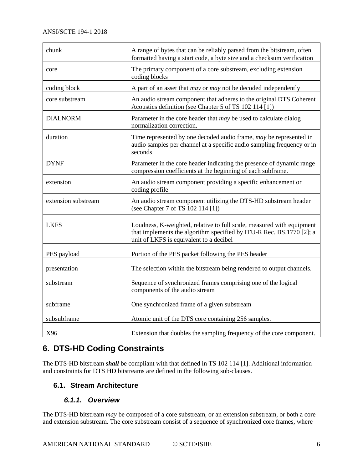| chunk               | A range of bytes that can be reliably parsed from the bitstream, often<br>formatted having a start code, a byte size and a checksum verification                                         |
|---------------------|------------------------------------------------------------------------------------------------------------------------------------------------------------------------------------------|
| core                | The primary component of a core substream, excluding extension<br>coding blocks                                                                                                          |
| coding block        | A part of an asset that <i>may</i> or <i>may</i> not be decoded independently                                                                                                            |
| core substream      | An audio stream component that adheres to the original DTS Coherent<br>Acoustics definition (see Chapter 5 of TS 102 114 [1])                                                            |
| <b>DIALNORM</b>     | Parameter in the core header that <i>may</i> be used to calculate dialog<br>normalization correction.                                                                                    |
| duration            | Time represented by one decoded audio frame, may be represented in<br>audio samples per channel at a specific audio sampling frequency or in<br>seconds                                  |
| <b>DYNF</b>         | Parameter in the core header indicating the presence of dynamic range<br>compression coefficients at the beginning of each subframe.                                                     |
| extension           | An audio stream component providing a specific enhancement or<br>coding profile                                                                                                          |
| extension substream | An audio stream component utilizing the DTS-HD substream header<br>(see Chapter 7 of TS 102 114 [1])                                                                                     |
| <b>LKFS</b>         | Loudness, K-weighted, relative to full scale, measured with equipment<br>that implements the algorithm specified by ITU-R Rec. BS.1770 [2]; a<br>unit of LKFS is equivalent to a decibel |
| PES payload         | Portion of the PES packet following the PES header                                                                                                                                       |
| presentation        | The selection within the bitstream being rendered to output channels.                                                                                                                    |
| substream           | Sequence of synchronized frames comprising one of the logical<br>components of the audio stream                                                                                          |
| subframe            | One synchronized frame of a given substream                                                                                                                                              |
| subsubframe         | Atomic unit of the DTS core containing 256 samples.                                                                                                                                      |
| X96                 | Extension that doubles the sampling frequency of the core component.                                                                                                                     |

## <span id="page-5-0"></span>**6. DTS-HD Coding Constraints**

The DTS-HD bitstream *shall* be compliant with that defined in TS 102 114 [\[1\].](#page-3-10) Additional information and constraints for DTS HD bitstreams are defined in the following sub-clauses.

## <span id="page-5-2"></span><span id="page-5-1"></span>**6.1. Stream Architecture**

## *6.1.1. Overview*

The DTS-HD bitstream *may* be composed of a core substream, or an extension substream, or both a core and extension substream. The core substream consist of a sequence of synchronized core frames, where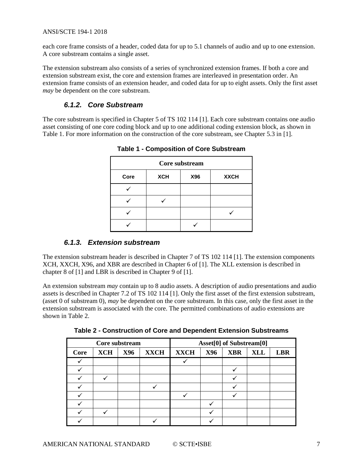each core frame consists of a header, coded data for up to 5.1 channels of audio and up to one extension. A core substream contains a single asset.

The extension substream also consists of a series of synchronized extension frames. If both a core and extension substream exist, the core and extension frames are interleaved in presentation order. An extension frame consists of an extension header, and coded data for up to eight assets. Only the first asset *may* be dependent on the core substream.

## *6.1.2. Core Substream*

<span id="page-6-2"></span><span id="page-6-0"></span>The core substream is specified in Chapter 5 of TS 102 114 [\[1\].](#page-3-10) Each core substream contains one audio asset consisting of one core coding block and up to one additional coding extension block, as shown in [Table 1.](#page-6-2) For more information on the construction of the core substream, see Chapter 5.3 in [\[1\].](#page-3-10)

| Core substream |            |     |             |  |  |  |
|----------------|------------|-----|-------------|--|--|--|
| Core           | <b>XCH</b> | X96 | <b>XXCH</b> |  |  |  |
|                |            |     |             |  |  |  |
|                |            |     |             |  |  |  |
|                |            |     |             |  |  |  |
|                |            |     |             |  |  |  |

**Table 1 - Composition of Core Substream**

## *6.1.3. Extension substream*

<span id="page-6-1"></span>The extension substream header is described in Chapter 7 of TS 102 114 [\[1\].](#page-3-10) The extension components XCH, XXCH, X96, and XBR are described in Chapter 6 of [\[1\].](#page-3-10) The XLL extension is described in chapter 8 of [1] and LBR is described in Chapter 9 of [\[1\].](#page-3-10)

An extension substream *may* contain up to 8 audio assets. A description of audio presentations and audio assets is described in Chapter 7.2 of TS 102 114 [\[1\].](#page-3-10) Only the first asset of the first extension substream, (asset 0 of substream 0), *may* be dependent on the core substream. In this case, only the first asset in the extension substream is associated with the core. The permitted combinations of audio extensions are shown in [Table 2.](#page-6-3)

**Table 2 - Construction of Core and Dependent Extension Substreams**

<span id="page-6-3"></span>

| Core substream |            |            |             |             |            | Asset[0] of Substream[0] |            |            |
|----------------|------------|------------|-------------|-------------|------------|--------------------------|------------|------------|
| Core           | <b>XCH</b> | <b>X96</b> | <b>XXCH</b> | <b>XXCH</b> | <b>X96</b> | <b>XBR</b>               | <b>XLL</b> | <b>LBR</b> |
|                |            |            |             |             |            |                          |            |            |
|                |            |            |             |             |            |                          |            |            |
|                |            |            |             |             |            |                          |            |            |
|                |            |            |             |             |            |                          |            |            |
|                |            |            |             |             |            |                          |            |            |
|                |            |            |             |             |            |                          |            |            |
|                |            |            |             |             |            |                          |            |            |
|                |            |            |             |             |            |                          |            |            |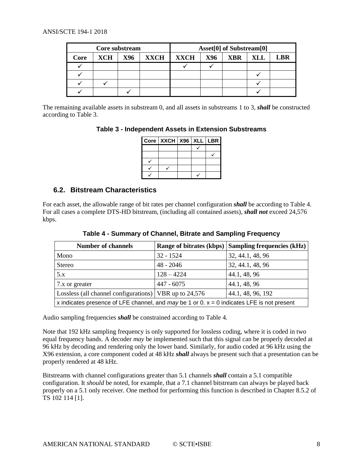| Core substream |     |     |             |             |     | Asset[0] of Substream[0] |     |     |
|----------------|-----|-----|-------------|-------------|-----|--------------------------|-----|-----|
| Core           | XCH | X96 | <b>XXCH</b> | <b>XXCH</b> | X96 | <b>XBR</b>               | XLL | LBR |
|                |     |     |             |             |     |                          |     |     |
|                |     |     |             |             |     |                          |     |     |
|                |     |     |             |             |     |                          |     |     |
|                |     |     |             |             |     |                          |     |     |

<span id="page-7-1"></span>The remaining available assets in substream 0, and all assets in substreams 1 to 3, *shall* be constructed according to [Table 3.](#page-7-1)

**Table 3 - Independent Assets in Extension Substreams**

| $Core$   XXCH   X96   XLL   LBR |  |  |
|---------------------------------|--|--|
|                                 |  |  |
|                                 |  |  |
|                                 |  |  |
|                                 |  |  |
|                                 |  |  |

## <span id="page-7-0"></span>**6.2. Bitstream Characteristics**

<span id="page-7-2"></span>For each asset, the allowable range of bit rates per channel configuration *shall* be according to [Table 4.](#page-7-2) For all cases a complete DTS-HD bitstream, (including all contained assets), *shall not* exceed 24,576 kbps.

| <b>Number of channels</b>                                                                    |              | Range of bitrates (kbps) Sampling frequencies (kHz) |  |  |  |
|----------------------------------------------------------------------------------------------|--------------|-----------------------------------------------------|--|--|--|
| Mono                                                                                         | $32 - 1524$  | 32, 44.1, 48, 96                                    |  |  |  |
| <b>Stereo</b>                                                                                | $48 - 2046$  | 32, 44.1, 48, 96                                    |  |  |  |
| 5.x                                                                                          | $128 - 4224$ | 44.1, 48, 96                                        |  |  |  |
| 7.x or greater                                                                               | $447 - 6075$ | 44.1, 48, 96                                        |  |  |  |
| Lossless (all channel configurations)   VBR up to 24,576                                     |              | 44.1, 48, 96, 192                                   |  |  |  |
| x indicates presence of LFE channel, and may be 1 or 0. $x = 0$ indicates LFE is not present |              |                                                     |  |  |  |

**Table 4 - Summary of Channel, Bitrate and Sampling Frequency** 

Audio sampling frequencies *shall* be constrained according to [Table 4.](#page-7-2)

Note that 192 kHz sampling frequency is only supported for lossless coding, where it is coded in two equal frequency bands. A decoder *may* be implemented such that this signal can be properly decoded at 96 kHz by decoding and rendering only the lower band. Similarly, for audio coded at 96 kHz using the X96 extension, a core component coded at 48 kHz *shall* always be present such that a presentation can be properly rendered at 48 kHz.

Bitstreams with channel configurations greater than 5.1 channels *shall* contain a 5.1 compatible configuration. It *should* be noted, for example, that a 7.1 channel bitstream can always be played back properly on a 5.1 only receiver. One method for performing this function is described in Chapter 8.5.2 of TS 102 114 [\[1\].](#page-3-10)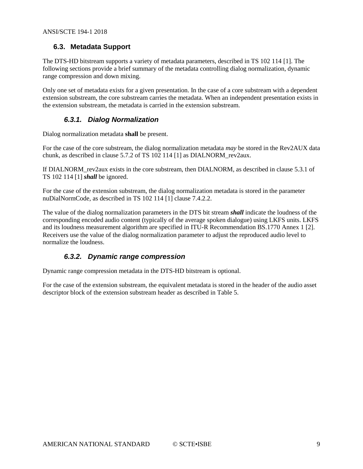## <span id="page-8-0"></span>**6.3. Metadata Support**

The DTS-HD bitstream supports a variety of metadata parameters, described in TS 102 114 [\[1\].](#page-3-10) The following sections provide a brief summary of the metadata controlling dialog normalization, dynamic range compression and down mixing.

Only one set of metadata exists for a given presentation. In the case of a core substream with a dependent extension substream, the core substream carries the metadata. When an independent presentation exists in the extension substream, the metadata is carried in the extension substream.

## *6.3.1. Dialog Normalization*

<span id="page-8-1"></span>Dialog normalization metadata **shall** be present.

For the case of the core substream, the dialog normalization metadata *may* be stored in the Rev2AUX data chunk, as described in clause 5.7.2 of TS 102 114 [\[1\]](#page-3-10) as DIALNORM\_rev2aux.

If DIALNORM\_rev2aux exists in the core substream, then DIALNORM, as described in clause 5.3.1 of TS 102 114 [\[1\]](#page-3-10) *shall* be ignored.

For the case of the extension substream, the dialog normalization metadata is stored in the parameter nuDialNormCode, as described in TS 102 114 [\[1\]](#page-3-10) clause 7.4.2.2.

The value of the dialog normalization parameters in the DTS bit stream *shall* indicate the loudness of the corresponding encoded audio content (typically of the average spoken dialogue) using LKFS units. LKFS and its loudness measurement algorithm are specified in ITU-R Recommendation BS.1770 Annex 1 [\[2\].](#page-3-11) Receivers use the value of the dialog normalization parameter to adjust the reproduced audio level to normalize the loudness.

## *6.3.2. Dynamic range compression*

<span id="page-8-2"></span>Dynamic range compression metadata in the DTS-HD bitstream is optional.

For the case of the extension substream, the equivalent metadata is stored in the header of the audio asset descriptor block of the extension substream header as described in [Table 5.](#page-9-1)